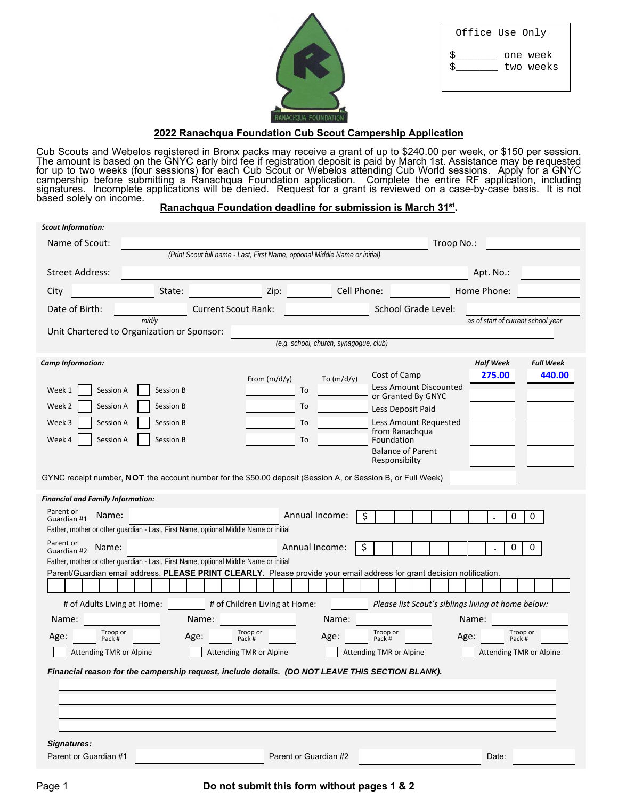| Office Use Only |
|-----------------|
|                 |
|                 |
| Ś<br>one week   |
|                 |
| Ś<br>two weeks  |
|                 |
|                 |
|                 |



# **2022 Ranachqua Foundation Cub Scout Campership Application**

Cub Scouts and Webelos registered in Bronx packs may receive a grant of up to \$240.00 per week, or \$150 per session.<br>The amount is based on the GNYC early bird fee if registration deposit is paid by March 1st. Assistance m

| <b>Scout Information:</b>                                                                                   |           |                            |                                                                             |                                        |                         |                                                                                                                         |                                    |                            |
|-------------------------------------------------------------------------------------------------------------|-----------|----------------------------|-----------------------------------------------------------------------------|----------------------------------------|-------------------------|-------------------------------------------------------------------------------------------------------------------------|------------------------------------|----------------------------|
| Name of Scout:                                                                                              |           |                            |                                                                             |                                        |                         | Troop No.:                                                                                                              |                                    |                            |
|                                                                                                             |           |                            | (Print Scout full name - Last, First Name, optional Middle Name or initial) |                                        |                         |                                                                                                                         |                                    |                            |
| <b>Street Address:</b>                                                                                      |           |                            |                                                                             |                                        |                         |                                                                                                                         | Apt. No.:                          |                            |
| City                                                                                                        | State:    |                            | Zip:                                                                        |                                        | Cell Phone:             |                                                                                                                         | Home Phone:                        |                            |
| Date of Birth:                                                                                              |           | <b>Current Scout Rank:</b> |                                                                             |                                        |                         | School Grade Level:                                                                                                     |                                    |                            |
|                                                                                                             | m/d/y     |                            |                                                                             |                                        |                         |                                                                                                                         | as of start of current school year |                            |
| Unit Chartered to Organization or Sponsor:                                                                  |           |                            |                                                                             | (e.g. school, church, synagogue, club) |                         |                                                                                                                         |                                    |                            |
|                                                                                                             |           |                            |                                                                             |                                        |                         |                                                                                                                         |                                    |                            |
| <b>Camp Information:</b>                                                                                    |           |                            |                                                                             |                                        |                         | Cost of Camp                                                                                                            | <b>Half Week</b><br>275.00         | <b>Full Week</b><br>440.00 |
| Week 1<br>Session A                                                                                         | Session B |                            | From $(m/d/y)$                                                              | To $(m/d/y)$<br>To                     |                         | Less Amount Discounted                                                                                                  |                                    |                            |
| Session A<br>Week 2                                                                                         | Session B |                            |                                                                             | To                                     |                         | or Granted By GNYC                                                                                                      |                                    |                            |
|                                                                                                             |           |                            |                                                                             |                                        |                         | Less Deposit Paid                                                                                                       |                                    |                            |
| Session A<br>Week 3                                                                                         | Session B |                            |                                                                             | To                                     |                         | Less Amount Requested<br>from Ranachqua                                                                                 |                                    |                            |
| Session A<br>Week 4                                                                                         | Session B |                            |                                                                             | To                                     |                         | Foundation<br><b>Balance of Parent</b>                                                                                  |                                    |                            |
|                                                                                                             |           |                            |                                                                             |                                        |                         | Responsibilty                                                                                                           |                                    |                            |
| GYNC receipt number, NOT the account number for the \$50.00 deposit (Session A, or Session B, or Full Week) |           |                            |                                                                             |                                        |                         |                                                                                                                         |                                    |                            |
|                                                                                                             |           |                            |                                                                             |                                        |                         |                                                                                                                         |                                    |                            |
| <b>Financial and Family Information:</b><br>Parent or                                                       |           |                            |                                                                             |                                        |                         |                                                                                                                         |                                    |                            |
| Name:<br>Guardian #1                                                                                        |           |                            |                                                                             | Annual Income:                         | \$                      |                                                                                                                         | 0                                  | 0                          |
| Father, mother or other guardian - Last, First Name, optional Middle Name or initial                        |           |                            |                                                                             |                                        |                         |                                                                                                                         |                                    |                            |
| Parent or<br>Name:<br>Guardian #2                                                                           |           |                            |                                                                             | Annual Income:                         | Ş                       |                                                                                                                         | 0                                  | 0                          |
| Father, mother or other guardian - Last, First Name, optional Middle Name or initial                        |           |                            |                                                                             |                                        |                         |                                                                                                                         |                                    |                            |
|                                                                                                             |           |                            |                                                                             |                                        |                         | Parent/Guardian email address. PLEASE PRINT CLEARLY. Please provide your email address for grant decision notification. |                                    |                            |
|                                                                                                             |           |                            |                                                                             |                                        |                         |                                                                                                                         |                                    |                            |
| # of Adults Living at Home:                                                                                 |           |                            | # of Children Living at Home:                                               |                                        |                         | Please list Scout's siblings living at home below:                                                                      |                                    |                            |
| Name:<br>Troop or                                                                                           |           | Name:                      | Troop or                                                                    | Name:                                  | Troop or                |                                                                                                                         | Name:<br>Troop or                  |                            |
| Age:<br>Pack #                                                                                              |           | Age:                       | Pack #                                                                      | Age:                                   | Pack #                  |                                                                                                                         | Age:<br>Pack #                     |                            |
| <b>Attending TMR or Alpine</b>                                                                              |           |                            | Attending TMR or Alpine                                                     |                                        | Attending TMR or Alpine |                                                                                                                         | Attending TMR or Alpine            |                            |
| Financial reason for the campership request, include details.  (DO NOT LEAVE THIS SECTION BLANK).           |           |                            |                                                                             |                                        |                         |                                                                                                                         |                                    |                            |
|                                                                                                             |           |                            |                                                                             |                                        |                         |                                                                                                                         |                                    |                            |
|                                                                                                             |           |                            |                                                                             |                                        |                         |                                                                                                                         |                                    |                            |
|                                                                                                             |           |                            |                                                                             |                                        |                         |                                                                                                                         |                                    |                            |
|                                                                                                             |           |                            |                                                                             |                                        |                         |                                                                                                                         |                                    |                            |
| <b>Signatures:</b><br>Parent or Guardian #1                                                                 |           |                            |                                                                             | Parent or Guardian #2                  |                         |                                                                                                                         | Date:                              |                            |
|                                                                                                             |           |                            |                                                                             |                                        |                         |                                                                                                                         |                                    |                            |

#### Page 1 **Do not submit this form without pages 1 & 2**